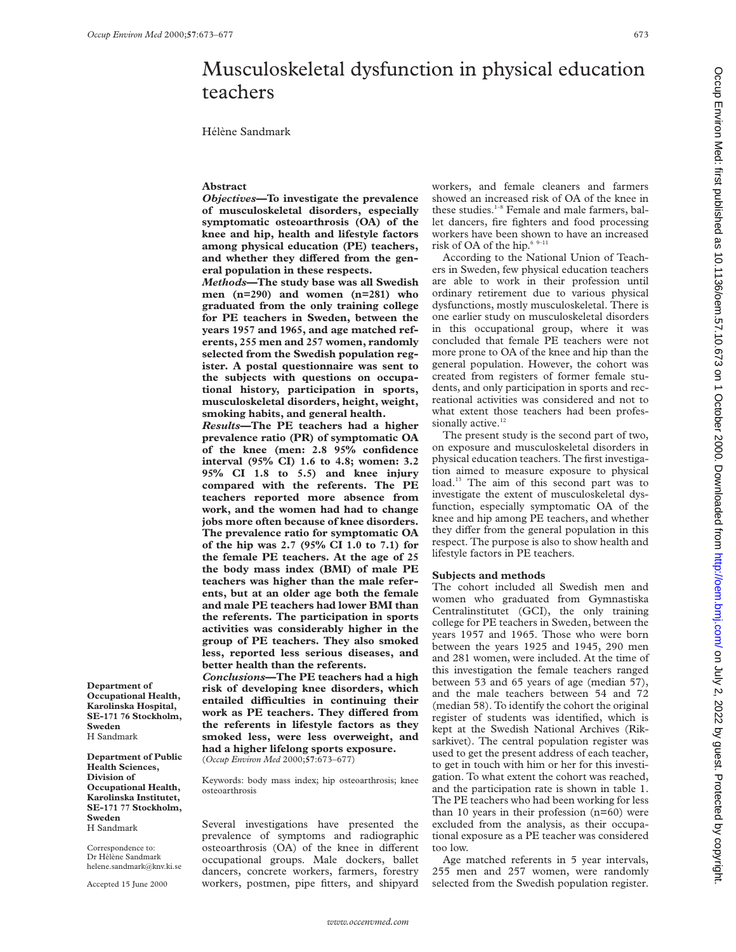# Musculoskeletal dysfunction in physical education teachers

Hélène Sandmark

### **Abstract**

*Objectives***—To investigate the prevalence of musculoskeletal disorders, especially symptomatic osteoarthrosis (OA) of the knee and hip, health and lifestyle factors among physical education (PE) teachers,** and whether they differed from the gen**eral population in these respects.**

*Methods***—The study base was all Swedish men (n=290) and women (n=281) who graduated from the only training college for PE teachers in Sweden, between the years 1957 and 1965, and age matched referents, 255 men and 257 women, randomly selected from the Swedish population register. A postal questionnaire was sent to the subjects with questions on occupational history, participation in sports, musculoskeletal disorders, height, weight, smoking habits, and general health.**

*Results***—The PE teachers had a higher prevalence ratio (PR) of symptomatic OA of the knee (men: 2.8 95% confidence interval (95% CI) 1.6 to 4.8; women: 3.2 95% CI 1.8 to 5.5) and knee injury compared with the referents. The PE teachers reported more absence from work, and the women had had to change jobs more often because of knee disorders. The prevalence ratio for symptomatic OA of the hip was 2.7 (95% CI 1.0 to 7.1) for the female PE teachers. At the age of 25 the body mass index (BMI) of male PE teachers was higher than the male referents, but at an older age both the female and male PE teachers had lower BMI than the referents. The participation in sports activities was considerably higher in the group of PE teachers. They also smoked less, reported less serious diseases, and better health than the referents.**

*Conclusions***—The PE teachers had a high risk of developing knee disorders, which entailed diYculties in continuing their** work as PE teachers. They differed from **the referents in lifestyle factors as they smoked less, were less overweight, and had a higher lifelong sports exposure.** (*Occup Environ Med* 2000;**57**:673–677)

Keywords: body mass index; hip osteoarthrosis; knee osteoarthrosis

Several investigations have presented the prevalence of symptoms and radiographic osteoarthrosis (OA) of the knee in different occupational groups. Male dockers, ballet dancers, concrete workers, farmers, forestry workers, postmen, pipe fitters, and shipyard

workers, and female cleaners and farmers showed an increased risk of OA of the knee in these studies.<sup>1-8</sup> Female and male farmers, ballet dancers, fire fighters and food processing workers have been shown to have an increased risk of OA of the hip. $\sp{6\,$ 9–11

According to the National Union of Teachers in Sweden, few physical education teachers are able to work in their profession until ordinary retirement due to various physical dysfunctions, mostly musculoskeletal. There is one earlier study on musculoskeletal disorders in this occupational group, where it was concluded that female PE teachers were not more prone to OA of the knee and hip than the general population. However, the cohort was created from registers of former female students, and only participation in sports and recreational activities was considered and not to what extent those teachers had been professionally active.<sup>12</sup>

The present study is the second part of two, on exposure and musculoskeletal disorders in physical education teachers. The first investigation aimed to measure exposure to physical load.<sup>13</sup> The aim of this second part was to investigate the extent of musculoskeletal dysfunction, especially symptomatic OA of the knee and hip among PE teachers, and whether they differ from the general population in this respect. The purpose is also to show health and lifestyle factors in PE teachers.

## **Subjects and methods**

The cohort included all Swedish men and women who graduated from Gymnastiska Centralinstitutet (GCI), the only training college for PE teachers in Sweden, between the years 1957 and 1965. Those who were born between the years 1925 and 1945, 290 men and 281 women, were included. At the time of this investigation the female teachers ranged between 53 and 65 years of age (median 57), and the male teachers between 54 and 72 (median 58). To identify the cohort the original register of students was identified, which is kept at the Swedish National Archives (Riksarkivet). The central population register was used to get the present address of each teacher, to get in touch with him or her for this investigation. To what extent the cohort was reached, and the participation rate is shown in table 1. The PE teachers who had been working for less than 10 years in their profession (n=60) were excluded from the analysis, as their occupational exposure as a PE teacher was considered too low.

Age matched referents in 5 year intervals, 255 men and 257 women, were randomly selected from the Swedish population register.

Occup Environ Med: first published as 10.11136/oem 57.10.673 on 1 October 2000. Downloaded from http://oem.bmj.com/ on July 2, 2022 by guest. Protected by copyright Occup Environ Supplished as 10.1136/oem.bm/ Supplished from OC Downloaded from Downloaded from Box Dyly 2, 2022 by 5, 2020. Dyly 2, 2020. Dyly 2, 2020. Dyly 2, 2020. Dyly 2, 2020. Download from the marrive of Client Bublis

**Department of Occupational Health, Karolinska Hospital, SE-171 76 Stockholm, Sweden** H Sandmark

**Department of Public Health Sciences, Division of Occupational Health, Karolinska Institutet, SE-171 77 Stockholm, Sweden**

H Sandmark

Correspondence to: Dr Hélène Sandmark helene.sandmark@knv.ki.se

Accepted 15 June 2000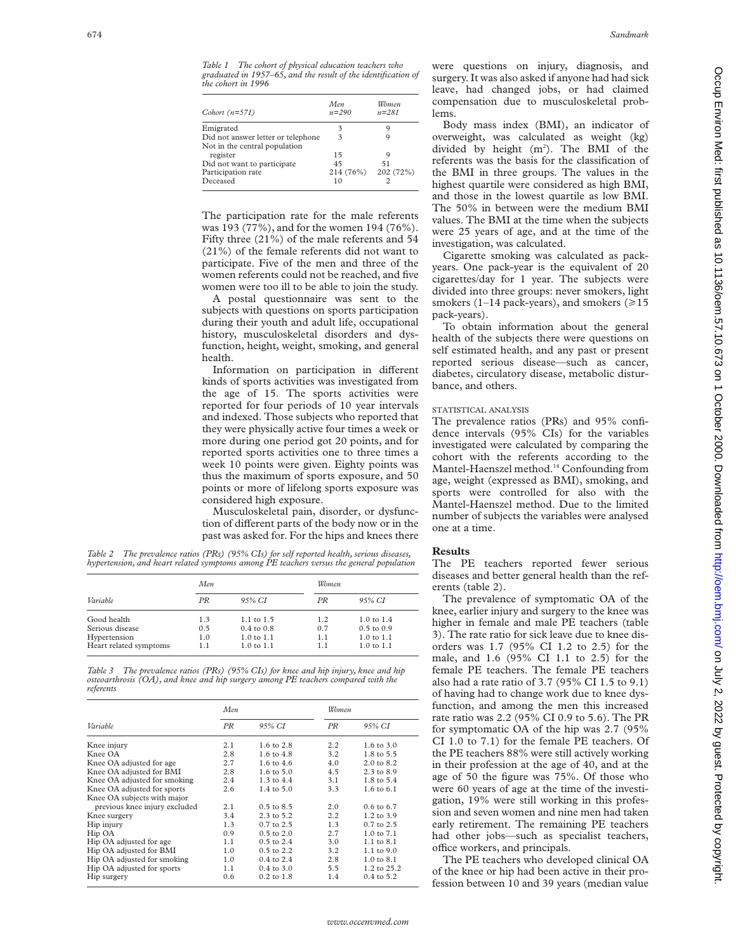| Cohort $(n=571)$                   | Men<br>$n = 290$ | Women<br>$n = 281$ |
|------------------------------------|------------------|--------------------|
| Emigrated                          | 3                |                    |
| Did not answer letter or telephone | 3                |                    |
| Not in the central population      |                  |                    |
| register                           | 15               | q                  |
| Did not want to participate        | 45               | 51                 |
| Participation rate                 | 214 (76%)        | 202 (72%)          |
| Deceased                           | 10               |                    |
|                                    |                  |                    |

The participation rate for the male referents was 193 (77%), and for the women 194 (76%). Fifty three (21%) of the male referents and 54 (21%) of the female referents did not want to participate. Five of the men and three of the women referents could not be reached, and five women were too ill to be able to join the study.

A postal questionnaire was sent to the subjects with questions on sports participation during their youth and adult life, occupational history, musculoskeletal disorders and dysfunction, height, weight, smoking, and general health.

Information on participation in different kinds of sports activities was investigated from the age of 15. The sports activities were reported for four periods of 10 year intervals and indexed. Those subjects who reported that they were physically active four times a week or more during one period got 20 points, and for reported sports activities one to three times a week 10 points were given. Eighty points was thus the maximum of sports exposure, and 50 points or more of lifelong sports exposure was considered high exposure.

Musculoskeletal pain, disorder, or dysfunction of different parts of the body now or in the past was asked for. For the hips and knees there

*Table 2 The prevalence ratios (PRs) (95% CIs) for self reported health, serious diseases, hypertension, and heart related symptoms among PE teachers versus the general population*

|                        | Men. |                       | Women |                       |  |
|------------------------|------|-----------------------|-------|-----------------------|--|
| Variable               | PR   | 95% CI                | PR    | 95% CI                |  |
| Good health            | 1.3  | $1.1 \text{ to } 1.5$ | 1.2   | $1.0 \text{ to } 1.4$ |  |
| Serious disease        | 0.5  | $0.4 \text{ to } 0.8$ | 0.7   | $0.5$ to $0.9$        |  |
| Hypertension           | 1.0  | $1.0 \text{ to } 1.1$ | 1.1   | $1.0 \text{ to } 1.1$ |  |
| Heart related symptoms | 1.1  | $1.0 \text{ to } 1.1$ | 1.1   | $1.0$ to $1.1$        |  |

*Table 3 The prevalence ratios (PRs) (95% CIs) for knee and hip injury, knee and hip osteoarthrosis (OA), and knee and hip surgery among PE teachers compared with the referents*

|                               | Men |                       |     | Women                 |  |
|-------------------------------|-----|-----------------------|-----|-----------------------|--|
| Variable                      | PR  | 95% CI                | PR  | 95% CI                |  |
| Knee injury                   | 2.1 | $1.6 \text{ to } 2.8$ | 2.2 | 1.6 to 3.0            |  |
| Knee OA                       | 2.8 | 1.6 to 4.8            | 3.2 | 1.8 to 5.5            |  |
| Knee OA adjusted for age      | 2.7 | 1.6 to $4.6$          | 4.0 | $2.0 \text{ to } 8.2$ |  |
| Knee OA adjusted for BMI      | 2.8 | $1.6 \text{ to } 5.0$ | 4.5 | 2.3 to 8.9            |  |
| Knee OA adjusted for smoking  | 2.4 | $1.3 \text{ to } 4.4$ | 3.1 | 1.8 to 5.4            |  |
| Knee OA adjusted for sports   | 2.6 | 1.4 to 5.0            | 3.3 | 1.6 to 6.1            |  |
| Knee OA subjects with major   |     |                       |     |                       |  |
| previous knee injury excluded | 2.1 | $0.5$ to $8.5$        | 2.0 | $0.6$ to $6.7$        |  |
| Knee surgery                  | 3.4 | $2.3 \text{ to } 5.2$ | 2.2 | $1.2 \text{ to } 3.9$ |  |
| Hip injury                    | 1.3 | $0.7$ to $2.5$        | 1.3 | $0.7$ to $2.5$        |  |
| Hip OA                        | 0.9 | $0.5 \text{ to } 2.0$ | 2.7 | $1.0$ to $7.1$        |  |
| Hip OA adjusted for age       | 1.1 | $0.5 \text{ to } 2.4$ | 3.0 | $1.1 \text{ to } 8.1$ |  |
| Hip OA adjusted for BMI       | 1.0 | $0.5$ to $2.2$        | 3.2 | $1.1$ to $9.0$        |  |
| Hip OA adjusted for smoking   | 1.0 | $0.4 \text{ to } 2.4$ | 2.8 | $1.0 \text{ to } 8.1$ |  |
| Hip OA adjusted for sports    | 1.1 | $0.4$ to $3.0$        | 5.5 | 1.2 to 25.2           |  |
| Hip surgery                   | 0.6 | $0.2$ to $1.8$        | 1.4 | 0.4 to 5.2            |  |

were questions on injury, diagnosis, and surgery. It was also asked if anyone had had sick leave, had changed jobs, or had claimed compensation due to musculoskeletal problems.

Body mass index (BMI), an indicator of overweight, was calculated as weight (kg) divided by height  $(m^2)$ . The BMI of the referents was the basis for the classification of the BMI in three groups. The values in the highest quartile were considered as high BMI, and those in the lowest quartile as low BMI. The 50% in between were the medium BMI values. The BMI at the time when the subjects were 25 years of age, and at the time of the investigation, was calculated.

Cigarette smoking was calculated as packyears. One pack-year is the equivalent of 20 cigarettes/day for 1 year. The subjects were divided into three groups: never smokers, light smokers (1–14 pack-years), and smokers ( $\geq 15$ ) pack-years).

To obtain information about the general health of the subjects there were questions on self estimated health, and any past or present reported serious disease—such as cancer, diabetes, circulatory disease, metabolic disturbance, and others.

#### STATISTICAL ANALYSIS

The prevalence ratios (PRs) and 95% confidence intervals (95% CIs) for the variables investigated were calculated by comparing the cohort with the referents according to the Mantel-Haenszel method.14 Confounding from age, weight (expressed as BMI), smoking, and sports were controlled for also with the Mantel-Haenszel method. Due to the limited number of subjects the variables were analysed one at a time.

#### **Results**

The PE teachers reported fewer serious diseases and better general health than the referents (table 2).

The prevalence of symptomatic OA of the knee, earlier injury and surgery to the knee was higher in female and male PE teachers (table 3). The rate ratio for sick leave due to knee disorders was 1.7 (95% CI 1.2 to 2.5) for the male, and 1.6 (95% CI 1.1 to 2.5) for the female PE teachers. The female PE teachers also had a rate ratio of 3.7 (95% CI 1.5 to 9.1) of having had to change work due to knee dysfunction, and among the men this increased rate ratio was 2.2 (95% CI 0.9 to 5.6). The PR for symptomatic OA of the hip was 2.7 (95% CI 1.0 to 7.1) for the female PE teachers. Of the PE teachers 88% were still actively working in their profession at the age of 40, and at the age of 50 the figure was 75%. Of those who were 60 years of age at the time of the investigation, 19% were still working in this profession and seven women and nine men had taken early retirement. The remaining PE teachers had other jobs—such as specialist teachers, office workers, and principals.

The PE teachers who developed clinical OA of the knee or hip had been active in their profession between 10 and 39 years (median value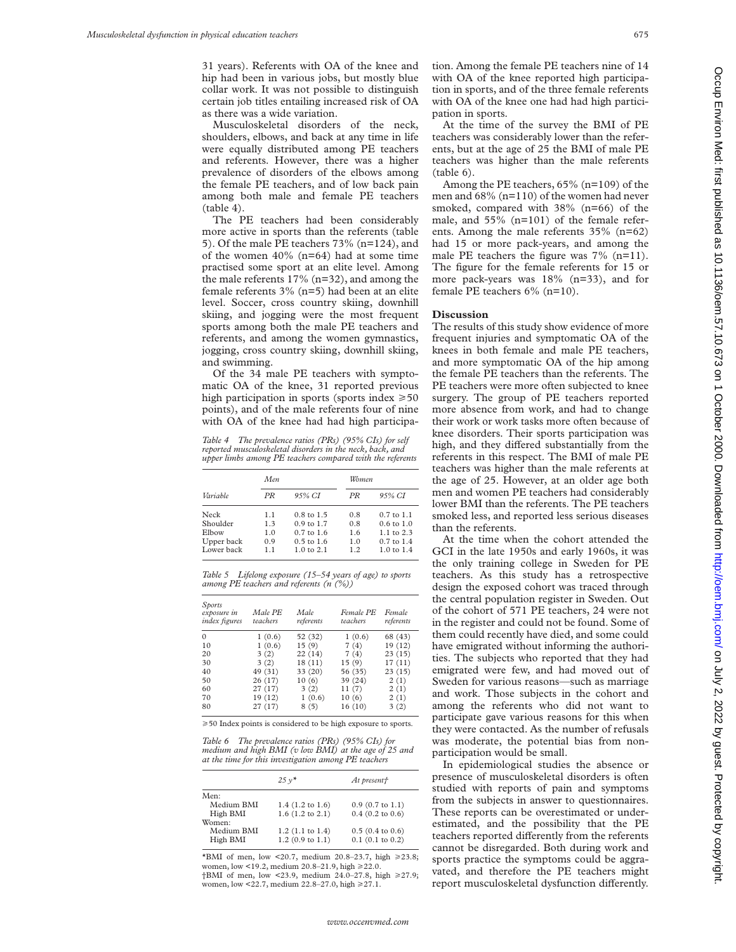31 years). Referents with OA of the knee and hip had been in various jobs, but mostly blue collar work. It was not possible to distinguish certain job titles entailing increased risk of OA as there was a wide variation.

Musculoskeletal disorders of the neck, shoulders, elbows, and back at any time in life were equally distributed among PE teachers and referents. However, there was a higher prevalence of disorders of the elbows among the female PE teachers, and of low back pain among both male and female PE teachers (table 4).

The PE teachers had been considerably more active in sports than the referents (table 5). Of the male PE teachers 73% (n=124), and of the women  $40\%$  (n=64) had at some time practised some sport at an elite level. Among the male referents 17% (n=32), and among the female referents 3% (n=5) had been at an elite level. Soccer, cross country skiing, downhill skiing, and jogging were the most frequent sports among both the male PE teachers and referents, and among the women gymnastics, jogging, cross country skiing, downhill skiing, and swimming.

Of the 34 male PE teachers with symptomatic OA of the knee, 31 reported previous high participation in sports (sports index  $\geq 50$ points), and of the male referents four of nine with OA of the knee had had high participa-

*Table 4 The prevalence ratios (PRs) (95% CIs) for self reported musculoskeletal disorders in the neck, back, and upper limbs among PE teachers compared with the referents*

|            | Men |                       |     | Women                 |  |  |
|------------|-----|-----------------------|-----|-----------------------|--|--|
| Variable   | PR  | 95% CI                | PR  | 95% CI                |  |  |
| Neck       | 1.1 | $0.8 \text{ to } 1.5$ | 0.8 | $0.7$ to $1.1$        |  |  |
| Shoulder   | 1.3 | $0.9 \text{ to } 1.7$ | 0.8 | $0.6 \text{ to } 1.0$ |  |  |
| Elbow      | 1.0 | $0.7$ to 1.6          | 1.6 | $1.1 \text{ to } 2.3$ |  |  |
| Upper back | 0.9 | $0.5 \text{ to } 1.6$ | 1.0 | $0.7$ to $1.4$        |  |  |
| Lower back | 11  | $1.0 \text{ to } 2.1$ | 12  | $1.0 \text{ to } 1.4$ |  |  |

*Table 5 Lifelong exposure (15–54 years of age) to sports among PE teachers and referents (n (%))*

| Sports<br>exposure in<br><i>index figures</i> | Male PE<br>teachers | Male<br>referents | Female PE<br>teachers | Female<br>referents |
|-----------------------------------------------|---------------------|-------------------|-----------------------|---------------------|
| $\Omega$                                      | 1(0.6)              | 52 (32)           | 1(0.6)                | 68 (43)             |
| 10                                            | 1(0.6)              | 15(9)             | 7(4)                  | 19 (12)             |
| 20                                            | 3(2)                | 22(14)            | 7(4)                  | 23(15)              |
| 30                                            | 3(2)                | 18(11)            | 15(9)                 | 17(11)              |
| 40                                            | 49 (31)             | 33 (20)           | 56 (35)               | 23(15)              |
| 50                                            | 26(17)              | 10(6)             | 39 (24)               | 2(1)                |
| 60                                            | 27(17)              | 3(2)              | 11(7)                 | 2(1)                |
| 70                                            | 19 (12)             | 1(0.6)            | 10(6)                 | 2(1)                |
| 80                                            | 27 (17)             | 8(5)              | 16 (10)               | 3(2)                |

 $\geq$  50 Index points is considered to be high exposure to sports.

*Table 6 The prevalence ratios (PRs) (95% CIs) for medium and high BMI (v low BMI) at the age of 25 and at the time for this investigation among PE teachers*

|            | $25v^*$            | At present†                |
|------------|--------------------|----------------------------|
| Men:       |                    |                            |
| Medium BMI | $1.4$ (1.2 to 1.6) | $0.9$ (0.7 to 1.1)         |
| High BMI   | $1.6$ (1.2 to 2.1) | $0.4$ (0.2 to 0.6)         |
| Women:     |                    |                            |
| Medium BMI | $1.2$ (1.1 to 1.4) | $0.5(0.4 \text{ to } 0.6)$ |
| High BMI   | $1.2$ (0.9 to 1.1) | $0.1$ (0.1 to 0.2)         |

\*BMI of men, low <20.7, medium 20.8–23.7, high  $\ge 23.8$ ; women, low <19.2, medium 20.8–21.9, high >22.0. †BMI of men, low <23.9, medium 24.0–27.8, high >27.9; women, low <22.7, medium 22.8-27.0, high  $\ge 27.1$ .

tion. Among the female PE teachers nine of 14 with OA of the knee reported high participation in sports, and of the three female referents with OA of the knee one had had high participation in sports.

At the time of the survey the BMI of PE teachers was considerably lower than the referents, but at the age of 25 the BMI of male PE teachers was higher than the male referents (table 6).

Among the PE teachers, 65% (n=109) of the men and 68% (n=110) of the women had never smoked, compared with 38% (n=66) of the male, and 55% (n=101) of the female referents. Among the male referents 35% (n=62) had 15 or more pack-years, and among the male PE teachers the figure was 7% (n=11). The figure for the female referents for 15 or more pack-years was 18% (n=33), and for female PE teachers 6% (n=10).

#### **Discussion**

The results of this study show evidence of more frequent injuries and symptomatic OA of the knees in both female and male PE teachers, and more symptomatic OA of the hip among the female PE teachers than the referents. The PE teachers were more often subjected to knee surgery. The group of PE teachers reported more absence from work, and had to change their work or work tasks more often because of knee disorders. Their sports participation was high, and they differed substantially from the referents in this respect. The BMI of male PE teachers was higher than the male referents at the age of 25. However, at an older age both men and women PE teachers had considerably lower BMI than the referents. The PE teachers smoked less, and reported less serious diseases than the referents.

At the time when the cohort attended the GCI in the late 1950s and early 1960s, it was the only training college in Sweden for PE teachers. As this study has a retrospective design the exposed cohort was traced through the central population register in Sweden. Out of the cohort of 571 PE teachers, 24 were not in the register and could not be found. Some of them could recently have died, and some could have emigrated without informing the authorities. The subjects who reported that they had emigrated were few, and had moved out of Sweden for various reasons—such as marriage and work. Those subjects in the cohort and among the referents who did not want to participate gave various reasons for this when they were contacted. As the number of refusals was moderate, the potential bias from nonparticipation would be small.

In epidemiological studies the absence or presence of musculoskeletal disorders is often studied with reports of pain and symptoms from the subjects in answer to questionnaires. These reports can be overestimated or underestimated, and the possibility that the PE teachers reported differently from the referents cannot be disregarded. Both during work and sports practice the symptoms could be aggravated, and therefore the PE teachers might report musculoskeletal dysfunction differently.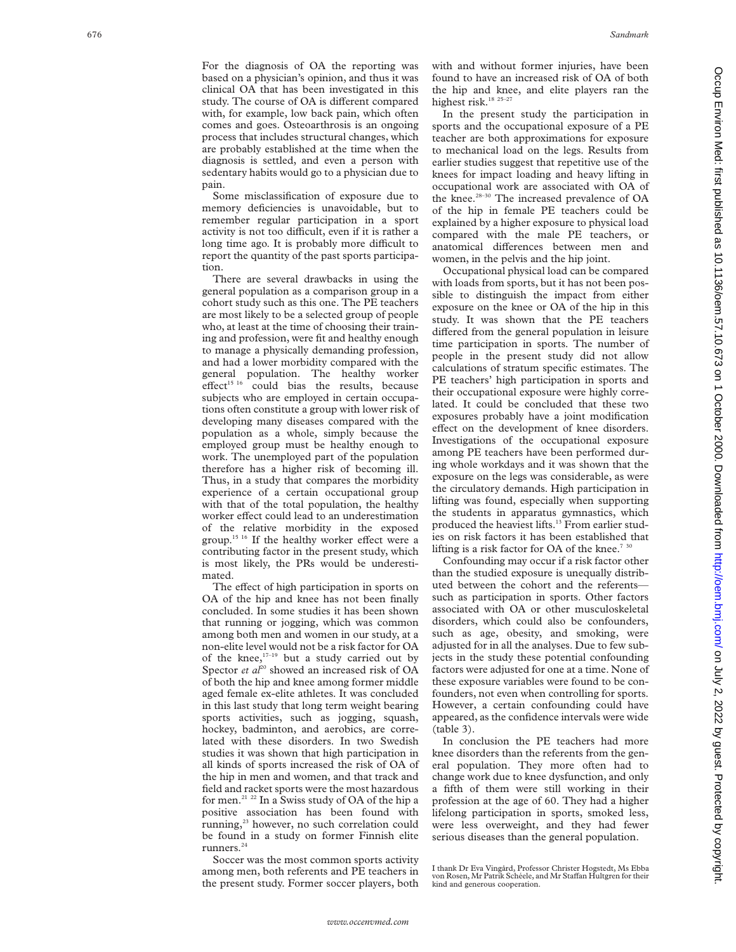For the diagnosis of OA the reporting was based on a physician's opinion, and thus it was clinical OA that has been investigated in this study. The course of OA is different compared with, for example, low back pain, which often comes and goes. Osteoarthrosis is an ongoing process that includes structural changes, which are probably established at the time when the diagnosis is settled, and even a person with sedentary habits would go to a physician due to pain.

Some misclassification of exposure due to memory deficiencies is unavoidable, but to remember regular participation in a sport activity is not too difficult, even if it is rather a long time ago. It is probably more difficult to report the quantity of the past sports participation.

There are several drawbacks in using the general population as a comparison group in a cohort study such as this one. The PE teachers are most likely to be a selected group of people who, at least at the time of choosing their training and profession, were fit and healthy enough to manage a physically demanding profession, and had a lower morbidity compared with the general population. The healthy worker effect<sup>15 16</sup> could bias the results, because subjects who are employed in certain occupations often constitute a group with lower risk of developing many diseases compared with the population as a whole, simply because the employed group must be healthy enough to work. The unemployed part of the population therefore has a higher risk of becoming ill. Thus, in a study that compares the morbidity experience of a certain occupational group with that of the total population, the healthy worker effect could lead to an underestimation of the relative morbidity in the exposed group.<sup>15 16</sup> If the healthy worker effect were a contributing factor in the present study, which is most likely, the PRs would be underestimated.

The effect of high participation in sports on OA of the hip and knee has not been finally concluded. In some studies it has been shown that running or jogging, which was common among both men and women in our study, at a non-elite level would not be a risk factor for OA of the knee,<sup>17-19</sup> but a study carried out by Spector *et al*<sup>20</sup> showed an increased risk of OA of both the hip and knee among former middle aged female ex-elite athletes. It was concluded in this last study that long term weight bearing sports activities, such as jogging, squash, hockey, badminton, and aerobics, are correlated with these disorders. In two Swedish studies it was shown that high participation in all kinds of sports increased the risk of OA of the hip in men and women, and that track and field and racket sports were the most hazardous for men.21 22 In a Swiss study of OA of the hip a positive association has been found with running,<sup>23</sup> however, no such correlation could be found in a study on former Finnish elite runners<sup>24</sup>

Soccer was the most common sports activity among men, both referents and PE teachers in the present study. Former soccer players, both

with and without former injuries, have been found to have an increased risk of OA of both the hip and knee, and elite players ran the highest risk.<sup>18 25-27</sup>

In the present study the participation in sports and the occupational exposure of a PE teacher are both approximations for exposure to mechanical load on the legs. Results from earlier studies suggest that repetitive use of the knees for impact loading and heavy lifting in occupational work are associated with OA of the knee.<sup>28-30</sup> The increased prevalence of OA of the hip in female PE teachers could be explained by a higher exposure to physical load compared with the male PE teachers, or anatomical differences between men and women, in the pelvis and the hip joint.

Occupational physical load can be compared with loads from sports, but it has not been possible to distinguish the impact from either exposure on the knee or OA of the hip in this study. It was shown that the PE teachers differed from the general population in leisure time participation in sports. The number of people in the present study did not allow calculations of stratum specific estimates. The PE teachers' high participation in sports and their occupational exposure were highly correlated. It could be concluded that these two exposures probably have a joint modification effect on the development of knee disorders. Investigations of the occupational exposure among PE teachers have been performed during whole workdays and it was shown that the exposure on the legs was considerable, as were the circulatory demands. High participation in lifting was found, especially when supporting the students in apparatus gymnastics, which produced the heaviest lifts.<sup>13</sup> From earlier studies on risk factors it has been established that lifting is a risk factor for OA of the knee.<sup>730</sup>

Confounding may occur if a risk factor other than the studied exposure is unequally distributed between the cohort and the referents such as participation in sports. Other factors associated with OA or other musculoskeletal disorders, which could also be confounders, such as age, obesity, and smoking, were adjusted for in all the analyses. Due to few subjects in the study these potential confounding factors were adjusted for one at a time. None of these exposure variables were found to be confounders, not even when controlling for sports. However, a certain confounding could have appeared, as the confidence intervals were wide (table 3).

In conclusion the PE teachers had more knee disorders than the referents from the general population. They more often had to change work due to knee dysfunction, and only a fifth of them were still working in their profession at the age of 60. They had a higher lifelong participation in sports, smoked less, were less overweight, and they had fewer serious diseases than the general population.

I thank Dr Eva Vingård, Professor Christer Hogstedt, Ms Ebba von Rosen, Mr Patrik Schéele, and Mr Staffan Hultgren for their kind and generous cooperation.